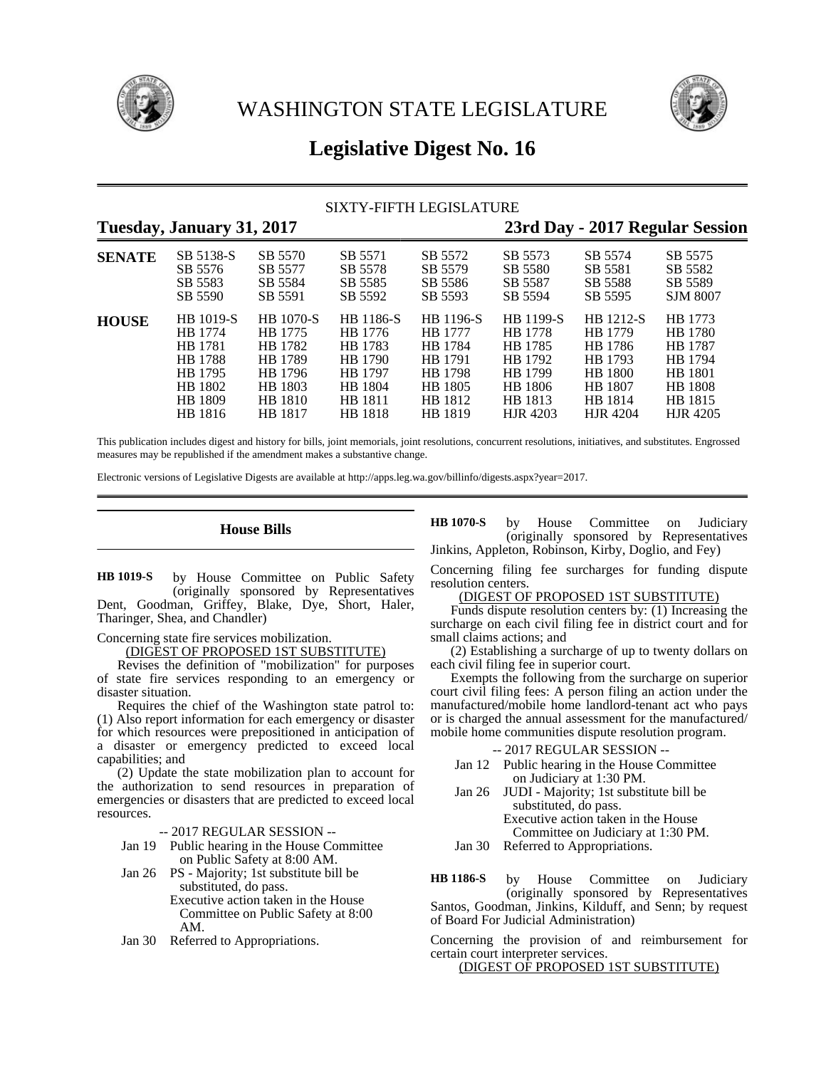

WASHINGTON STATE LEGISLATURE



# **Legislative Digest No. 16**

# SIXTY-FIFTH LEGISLATURE

| Tuesday, January 31, 2017 |                               |                               |                    |                           | 23rd Day - 2017 Regular Session |                               |                                       |
|---------------------------|-------------------------------|-------------------------------|--------------------|---------------------------|---------------------------------|-------------------------------|---------------------------------------|
| <b>SENATE</b>             | SB 5138-S                     | SB 5570                       | SB 5571<br>SB 5578 | SB 5572<br>SB 5579        | SB 5573                         | SB 5574                       | SB 5575                               |
|                           | SB 5576<br>SB 5583<br>SB 5590 | SB 5577<br>SB 5584<br>SB 5591 | SB 5585<br>SB 5592 | SB 5586<br>SB 5593        | SB 5580<br>SB 5587<br>SB 5594   | SB 5581<br>SB 5588<br>SB 5595 | SB 5582<br>SB 5589<br><b>SJM 8007</b> |
| <b>HOUSE</b>              | HB 1019-S                     | <b>HB</b> 1070-S              | HB 1186-S          | HB 1196-S                 | HB 1199-S                       | HB 1212-S                     | HB 1773                               |
|                           | HB 1774<br>HB 1781            | HB 1775<br>HB 1782            | HB 1776<br>HB 1783 | HB 1777<br>HB 1784        | HB 1778<br>HB 1785              | HB 1779<br>HB 1786            | HB 1780<br>HB 1787                    |
|                           | <b>HB</b> 1788<br>HB 1795     | HB 1789<br>HB 1796            | HB 1790<br>HB 1797 | HB 1791<br><b>HB</b> 1798 | HB 1792<br>HB 1799              | HB 1793<br><b>HB</b> 1800     | HB 1794<br>HB 1801                    |
|                           | HB 1802<br>HB 1809            | HB 1803<br>HB 1810            | HB 1804<br>HB 1811 | HB 1805<br>HB 1812        | HB 1806<br>HB 1813              | HB 1807<br>HB 1814            | <b>HB</b> 1808<br>HB 1815             |
|                           | HB 1816                       | HB 1817                       | HB 1818            | HB 1819                   | HJR 4203                        | <b>HJR 4204</b>               | HJR 4205                              |

This publication includes digest and history for bills, joint memorials, joint resolutions, concurrent resolutions, initiatives, and substitutes. Engrossed measures may be republished if the amendment makes a substantive change.

Electronic versions of Legislative Digests are available at http://apps.leg.wa.gov/billinfo/digests.aspx?year=2017.

### **House Bills**

by House Committee on Public Safety (originally sponsored by Representatives Dent, Goodman, Griffey, Blake, Dye, Short, Haler, Tharinger, Shea, and Chandler) **HB 1019-S**

Concerning state fire services mobilization.

(DIGEST OF PROPOSED 1ST SUBSTITUTE)

Revises the definition of "mobilization" for purposes of state fire services responding to an emergency or disaster situation.

Requires the chief of the Washington state patrol to: (1) Also report information for each emergency or disaster for which resources were prepositioned in anticipation of a disaster or emergency predicted to exceed local capabilities; and

(2) Update the state mobilization plan to account for the authorization to send resources in preparation of emergencies or disasters that are predicted to exceed local resources.

-- 2017 REGULAR SESSION --

- Jan 19 Public hearing in the House Committee on Public Safety at 8:00 AM.
- Jan 26 PS Majority; 1st substitute bill be substituted, do pass. Executive action taken in the House Committee on Public Safety at 8:00 AM.
- Jan 30 Referred to Appropriations.

by House Committee on Judiciary (originally sponsored by Representatives Jinkins, Appleton, Robinson, Kirby, Doglio, and Fey) **HB 1070-S**

Concerning filing fee surcharges for funding dispute resolution centers.

(DIGEST OF PROPOSED 1ST SUBSTITUTE)

Funds dispute resolution centers by: (1) Increasing the surcharge on each civil filing fee in district court and for small claims actions; and

(2) Establishing a surcharge of up to twenty dollars on each civil filing fee in superior court.

Exempts the following from the surcharge on superior court civil filing fees: A person filing an action under the manufactured/mobile home landlord-tenant act who pays or is charged the annual assessment for the manufactured/ mobile home communities dispute resolution program.

-- 2017 REGULAR SESSION --

- Jan 12 Public hearing in the House Committee on Judiciary at 1:30 PM.
- Jan 26 JUDI Majority; 1st substitute bill be substituted, do pass. Executive action taken in the House Committee on Judiciary at 1:30 PM.
- Jan 30 Referred to Appropriations.

by House Committee on Judiciary (originally sponsored by Representatives Santos, Goodman, Jinkins, Kilduff, and Senn; by request of Board For Judicial Administration) **HB 1186-S**

Concerning the provision of and reimbursement for certain court interpreter services.

(DIGEST OF PROPOSED 1ST SUBSTITUTE)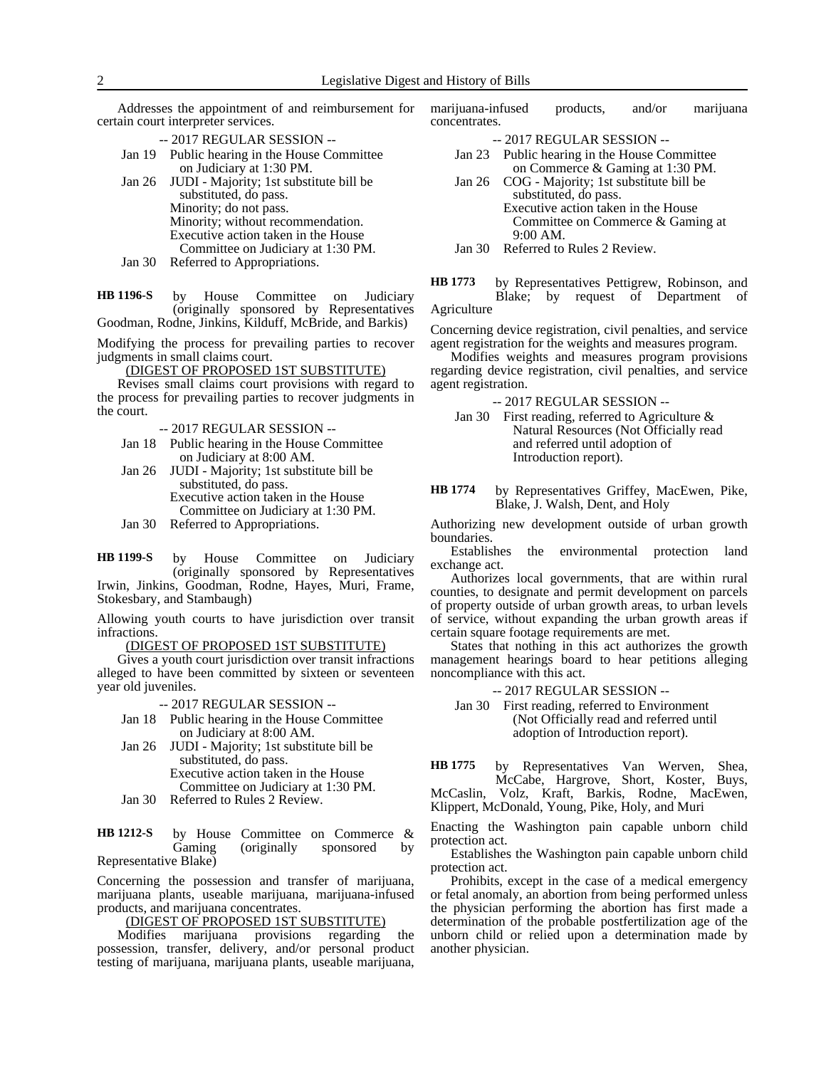Addresses the appointment of and reimbursement for certain court interpreter services.

- -- 2017 REGULAR SESSION --
- Jan 19 Public hearing in the House Committee on Judiciary at 1:30 PM.
- Jan 26 JUDI Majority; 1st substitute bill be substituted, do pass. Minority; do not pass. Minority; without recommendation. Executive action taken in the House Committee on Judiciary at 1:30 PM.
- Jan 30 Referred to Appropriations.

by House Committee on Judiciary (originally sponsored by Representatives Goodman, Rodne, Jinkins, Kilduff, McBride, and Barkis) **HB 1196-S**

Modifying the process for prevailing parties to recover judgments in small claims court.

(DIGEST OF PROPOSED 1ST SUBSTITUTE)

Revises small claims court provisions with regard to the process for prevailing parties to recover judgments in the court.

- -- 2017 REGULAR SESSION --
- Jan 18 Public hearing in the House Committee on Judiciary at 8:00 AM.
- Jan 26 JUDI Majority; 1st substitute bill be substituted, do pass. Executive action taken in the House Committee on Judiciary at 1:30 PM.

Jan 30 Referred to Appropriations.

by House Committee on Judiciary (originally sponsored by Representatives Irwin, Jinkins, Goodman, Rodne, Hayes, Muri, Frame, Stokesbary, and Stambaugh) **HB 1199-S**

Allowing youth courts to have jurisdiction over transit infractions.

### (DIGEST OF PROPOSED 1ST SUBSTITUTE)

Gives a youth court jurisdiction over transit infractions alleged to have been committed by sixteen or seventeen year old juveniles.

-- 2017 REGULAR SESSION --

- Jan 18 Public hearing in the House Committee on Judiciary at 8:00 AM.
- Jan 26 JUDI Majority; 1st substitute bill be substituted, do pass. Executive action taken in the House Committee on Judiciary at 1:30 PM.
- Jan 30 Referred to Rules 2 Review.

by House Committee on Commerce & Gaming (originally sponsored by Representative Blake) **HB 1212-S**

Concerning the possession and transfer of marijuana, marijuana plants, useable marijuana, marijuana-infused products, and marijuana concentrates.

(DIGEST OF PROPOSED 1ST SUBSTITUTE)

Modifies marijuana provisions regarding the possession, transfer, delivery, and/or personal product testing of marijuana, marijuana plants, useable marijuana,

marijuana-infused products, and/or marijuana concentrates.

- -- 2017 REGULAR SESSION --
- Jan 23 Public hearing in the House Committee on Commerce & Gaming at 1:30 PM.
- Jan 26 COG Majority; 1st substitute bill be substituted, do pass. Executive action taken in the House Committee on Commerce & Gaming at 9:00 AM.
- Jan 30 Referred to Rules 2 Review.

by Representatives Pettigrew, Robinson, and Blake; by request of Department of Agriculture **HB 1773**

Concerning device registration, civil penalties, and service agent registration for the weights and measures program.

Modifies weights and measures program provisions regarding device registration, civil penalties, and service agent registration.

-- 2017 REGULAR SESSION --

Jan 30 First reading, referred to Agriculture & Natural Resources (Not Officially read and referred until adoption of Introduction report).

by Representatives Griffey, MacEwen, Pike, Blake, J. Walsh, Dent, and Holy **HB 1774**

Authorizing new development outside of urban growth boundaries.

Establishes the environmental protection land exchange act.

Authorizes local governments, that are within rural counties, to designate and permit development on parcels of property outside of urban growth areas, to urban levels of service, without expanding the urban growth areas if certain square footage requirements are met.

States that nothing in this act authorizes the growth management hearings board to hear petitions alleging noncompliance with this act.

-- 2017 REGULAR SESSION --

Jan 30 First reading, referred to Environment (Not Officially read and referred until adoption of Introduction report).

by Representatives Van Werven, Shea, McCabe, Hargrove, Short, Koster, Buys, McCaslin, Volz, Kraft, Barkis, Rodne, MacEwen, Klippert, McDonald, Young, Pike, Holy, and Muri **HB 1775**

Enacting the Washington pain capable unborn child protection act.

Establishes the Washington pain capable unborn child protection act.

Prohibits, except in the case of a medical emergency or fetal anomaly, an abortion from being performed unless the physician performing the abortion has first made a determination of the probable postfertilization age of the unborn child or relied upon a determination made by another physician.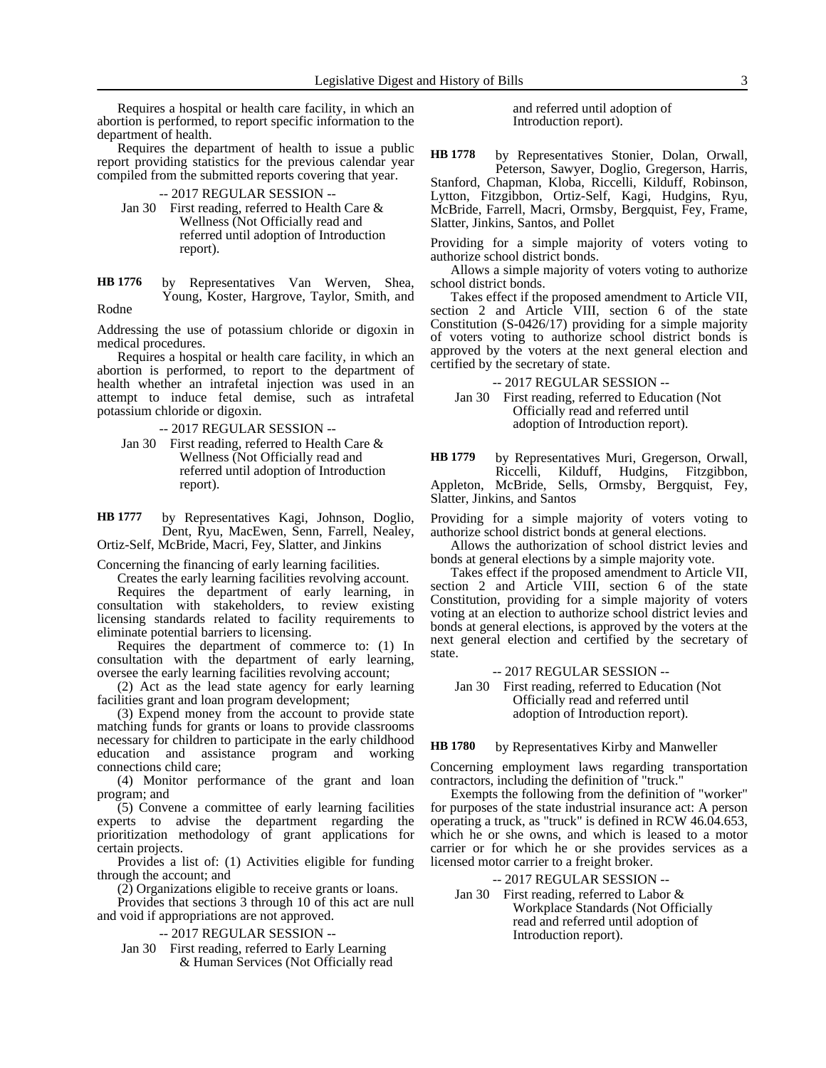Requires a hospital or health care facility, in which an abortion is performed, to report specific information to the department of health.

Requires the department of health to issue a public report providing statistics for the previous calendar year compiled from the submitted reports covering that year.

-- 2017 REGULAR SESSION --

Jan 30 First reading, referred to Health Care & Wellness (Not Officially read and referred until adoption of Introduction report).

by Representatives Van Werven, Shea, Young, Koster, Hargrove, Taylor, Smith, and Rodne **HB 1776**

Addressing the use of potassium chloride or digoxin in medical procedures.

Requires a hospital or health care facility, in which an abortion is performed, to report to the department of health whether an intrafetal injection was used in an attempt to induce fetal demise, such as intrafetal potassium chloride or digoxin.

-- 2017 REGULAR SESSION --

Jan 30 First reading, referred to Health Care & Wellness (Not Officially read and referred until adoption of Introduction report).

by Representatives Kagi, Johnson, Doglio, Dent, Ryu, MacEwen, Senn, Farrell, Nealey, Ortiz-Self, McBride, Macri, Fey, Slatter, and Jinkins **HB 1777**

Concerning the financing of early learning facilities.

Creates the early learning facilities revolving account.

Requires the department of early learning, in consultation with stakeholders, to review existing licensing standards related to facility requirements to eliminate potential barriers to licensing.

Requires the department of commerce to: (1) In consultation with the department of early learning, oversee the early learning facilities revolving account;

(2) Act as the lead state agency for early learning facilities grant and loan program development;

(3) Expend money from the account to provide state matching funds for grants or loans to provide classrooms necessary for children to participate in the early childhood education and assistance program and working connections child care;

(4) Monitor performance of the grant and loan program; and

(5) Convene a committee of early learning facilities experts to advise the department regarding the prioritization methodology of grant applications for certain projects.

Provides a list of: (1) Activities eligible for funding through the account; and

(2) Organizations eligible to receive grants or loans.

Provides that sections 3 through 10 of this act are null and void if appropriations are not approved.

-- 2017 REGULAR SESSION --

Jan 30 First reading, referred to Early Learning & Human Services (Not Officially read and referred until adoption of Introduction report).

by Representatives Stonier, Dolan, Orwall, Peterson, Sawyer, Doglio, Gregerson, Harris, Stanford, Chapman, Kloba, Riccelli, Kilduff, Robinson, Lytton, Fitzgibbon, Ortiz-Self, Kagi, Hudgins, Ryu, McBride, Farrell, Macri, Ormsby, Bergquist, Fey, Frame, Slatter, Jinkins, Santos, and Pollet **HB 1778**

Providing for a simple majority of voters voting to authorize school district bonds.

Allows a simple majority of voters voting to authorize school district bonds.

Takes effect if the proposed amendment to Article VII, section 2 and Article VIII, section 6 of the state Constitution (S-0426/17) providing for a simple majority of voters voting to authorize school district bonds is approved by the voters at the next general election and certified by the secretary of state.

-- 2017 REGULAR SESSION --

Jan 30 First reading, referred to Education (Not Officially read and referred until adoption of Introduction report).

by Representatives Muri, Gregerson, Orwall, Riccelli, Kilduff, Hudgins, Fitzgibbon, Appleton, McBride, Sells, Ormsby, Bergquist, Fey, Slatter, Jinkins, and Santos **HB 1779**

Providing for a simple majority of voters voting to authorize school district bonds at general elections.

Allows the authorization of school district levies and bonds at general elections by a simple majority vote.

Takes effect if the proposed amendment to Article VII, section 2 and Article VIII, section 6 of the state Constitution, providing for a simple majority of voters voting at an election to authorize school district levies and bonds at general elections, is approved by the voters at the next general election and certified by the secretary of state.

-- 2017 REGULAR SESSION --

Jan 30 First reading, referred to Education (Not Officially read and referred until adoption of Introduction report).

by Representatives Kirby and Manweller **HB 1780**

Concerning employment laws regarding transportation contractors, including the definition of "truck."

Exempts the following from the definition of "worker" for purposes of the state industrial insurance act: A person operating a truck, as "truck" is defined in RCW 46.04.653, which he or she owns, and which is leased to a motor carrier or for which he or she provides services as a licensed motor carrier to a freight broker.

#### -- 2017 REGULAR SESSION --

Jan 30 First reading, referred to Labor & Workplace Standards (Not Officially read and referred until adoption of Introduction report).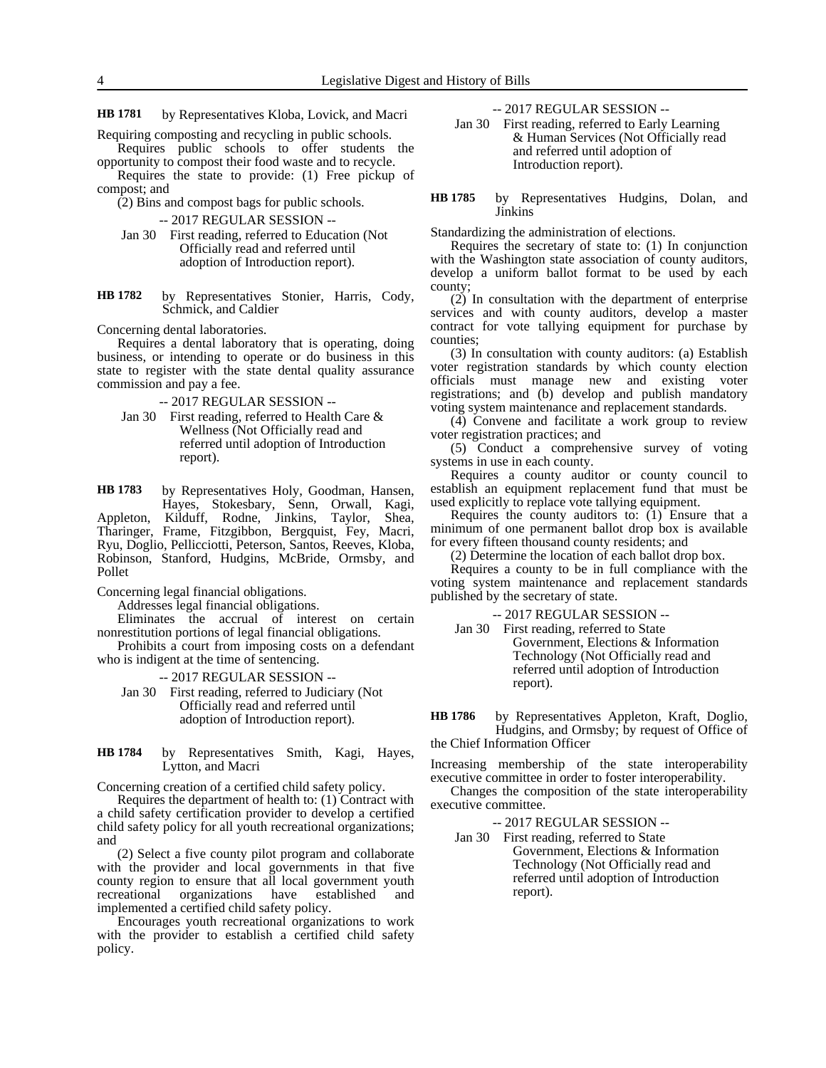4 Legislative Digest and History of Bills

by Representatives Kloba, Lovick, and Macri **HB 1781**

Requiring composting and recycling in public schools. Requires public schools to offer students the

opportunity to compost their food waste and to recycle. Requires the state to provide: (1) Free pickup of compost; and

(2) Bins and compost bags for public schools.

-- 2017 REGULAR SESSION --

- Jan 30 First reading, referred to Education (Not Officially read and referred until adoption of Introduction report).
- by Representatives Stonier, Harris, Cody, Schmick, and Caldier **HB 1782**

Concerning dental laboratories.

Requires a dental laboratory that is operating, doing business, or intending to operate or do business in this state to register with the state dental quality assurance commission and pay a fee.

-- 2017 REGULAR SESSION --

Jan 30 First reading, referred to Health Care & Wellness (Not Officially read and referred until adoption of Introduction report).

by Representatives Holy, Goodman, Hansen, Hayes, Stokesbary, Senn, Orwall, Kagi, Appleton, Kilduff, Rodne, Jinkins, Taylor, Shea, Tharinger, Frame, Fitzgibbon, Bergquist, Fey, Macri, Ryu, Doglio, Pellicciotti, Peterson, Santos, Reeves, Kloba, Robinson, Stanford, Hudgins, McBride, Ormsby, and Pollet **HB 1783**

Concerning legal financial obligations.

Addresses legal financial obligations.

Eliminates the accrual of interest on certain nonrestitution portions of legal financial obligations.

Prohibits a court from imposing costs on a defendant who is indigent at the time of sentencing.

-- 2017 REGULAR SESSION --

Jan 30 First reading, referred to Judiciary (Not Officially read and referred until adoption of Introduction report).

by Representatives Smith, Kagi, Hayes, Lytton, and Macri **HB 1784**

Concerning creation of a certified child safety policy.

Requires the department of health to: (1) Contract with a child safety certification provider to develop a certified child safety policy for all youth recreational organizations; and

(2) Select a five county pilot program and collaborate with the provider and local governments in that five county region to ensure that all local government youth recreational organizations have established and implemented a certified child safety policy.

Encourages youth recreational organizations to work with the provider to establish a certified child safety policy.

-- 2017 REGULAR SESSION --

Jan 30 First reading, referred to Early Learning & Human Services (Not Officially read and referred until adoption of Introduction report).

by Representatives Hudgins, Dolan, and Jinkins **HB 1785**

Standardizing the administration of elections.

Requires the secretary of state to: (1) In conjunction with the Washington state association of county auditors, develop a uniform ballot format to be used by each county;

(2) In consultation with the department of enterprise services and with county auditors, develop a master contract for vote tallying equipment for purchase by counties;

(3) In consultation with county auditors: (a) Establish voter registration standards by which county election officials must manage new and existing voter registrations; and (b) develop and publish mandatory voting system maintenance and replacement standards.

(4) Convene and facilitate a work group to review voter registration practices; and

(5) Conduct a comprehensive survey of voting systems in use in each county.

Requires a county auditor or county council to establish an equipment replacement fund that must be used explicitly to replace vote tallying equipment.

Requires the county auditors to: (1) Ensure that a minimum of one permanent ballot drop box is available for every fifteen thousand county residents; and

(2) Determine the location of each ballot drop box.

Requires a county to be in full compliance with the voting system maintenance and replacement standards published by the secretary of state.

-- 2017 REGULAR SESSION --

Jan 30 First reading, referred to State Government, Elections & Information Technology (Not Officially read and referred until adoption of Introduction report).

by Representatives Appleton, Kraft, Doglio, Hudgins, and Ormsby; by request of Office of the Chief Information Officer **HB 1786**

Increasing membership of the state interoperability executive committee in order to foster interoperability.

Changes the composition of the state interoperability executive committee.

-- 2017 REGULAR SESSION --

Jan 30 First reading, referred to State Government, Elections & Information Technology (Not Officially read and referred until adoption of Introduction report).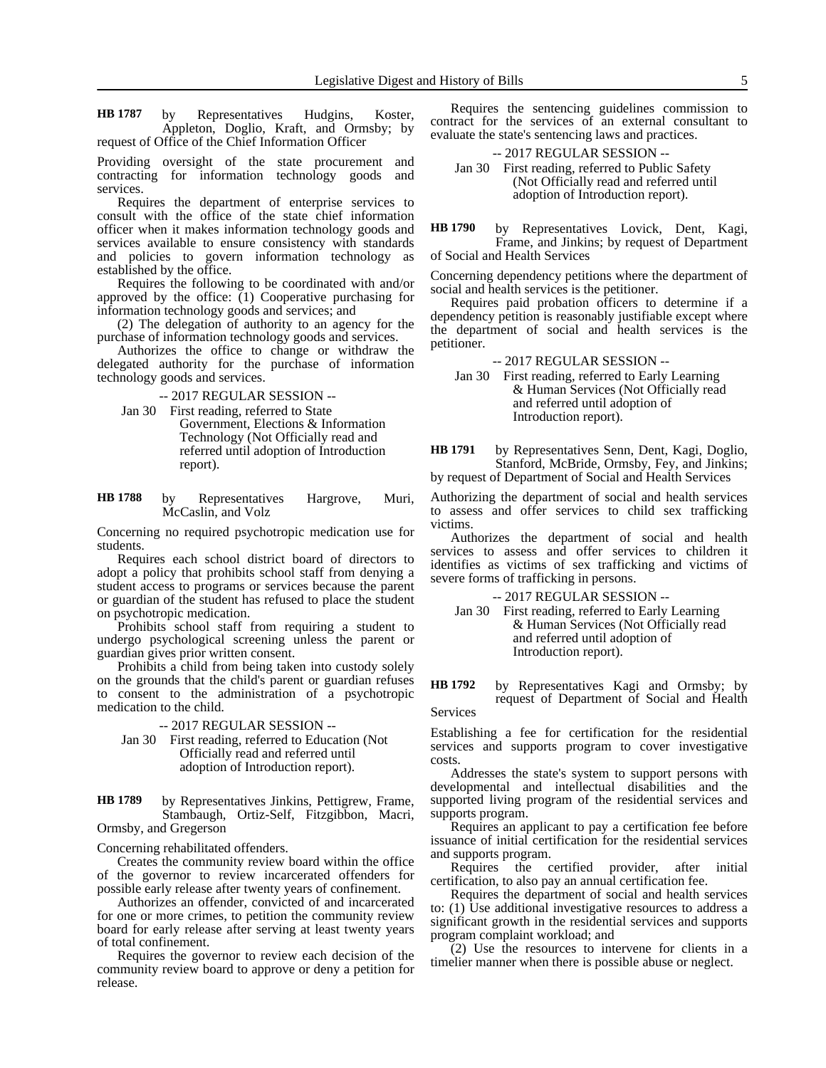by Representatives Hudgins, Koster, Appleton, Doglio, Kraft, and Ormsby; by request of Office of the Chief Information Officer **HB 1787**

Providing oversight of the state procurement and contracting for information technology goods and services.

Requires the department of enterprise services to consult with the office of the state chief information officer when it makes information technology goods and services available to ensure consistency with standards and policies to govern information technology as established by the office.

Requires the following to be coordinated with and/or approved by the office:  $(1)$  Cooperative purchasing for information technology goods and services; and

(2) The delegation of authority to an agency for the purchase of information technology goods and services.

Authorizes the office to change or withdraw the delegated authority for the purchase of information technology goods and services.

-- 2017 REGULAR SESSION --

Jan 30 First reading, referred to State Government, Elections & Information Technology (Not Officially read and referred until adoption of Introduction

report).

by Representatives Hargrove, Muri, McCaslin, and Volz **HB 1788**

Concerning no required psychotropic medication use for students.

Requires each school district board of directors to adopt a policy that prohibits school staff from denying a student access to programs or services because the parent or guardian of the student has refused to place the student on psychotropic medication.

Prohibits school staff from requiring a student to undergo psychological screening unless the parent or guardian gives prior written consent.

Prohibits a child from being taken into custody solely on the grounds that the child's parent or guardian refuses to consent to the administration of a psychotropic medication to the child.

-- 2017 REGULAR SESSION --

Jan 30 First reading, referred to Education (Not Officially read and referred until adoption of Introduction report).

by Representatives Jinkins, Pettigrew, Frame, Stambaugh, Ortiz-Self, Fitzgibbon, Macri, Ormsby, and Gregerson **HB 1789**

Concerning rehabilitated offenders.

Creates the community review board within the office of the governor to review incarcerated offenders for possible early release after twenty years of confinement.

Authorizes an offender, convicted of and incarcerated for one or more crimes, to petition the community review board for early release after serving at least twenty years of total confinement.

Requires the governor to review each decision of the community review board to approve or deny a petition for release.

Requires the sentencing guidelines commission to contract for the services of an external consultant to evaluate the state's sentencing laws and practices.

### -- 2017 REGULAR SESSION -- Jan 30 First reading, referred to Public Safety (Not Officially read and referred until adoption of Introduction report).

by Representatives Lovick, Dent, Kagi, Frame, and Jinkins; by request of Department of Social and Health Services **HB 1790**

Concerning dependency petitions where the department of social and health services is the petitioner.

Requires paid probation officers to determine if a dependency petition is reasonably justifiable except where the department of social and health services is the petitioner.

-- 2017 REGULAR SESSION --

Jan 30 First reading, referred to Early Learning & Human Services (Not Officially read and referred until adoption of Introduction report).

by Representatives Senn, Dent, Kagi, Doglio, Stanford, McBride, Ormsby, Fey, and Jinkins; by request of Department of Social and Health Services **HB 1791**

Authorizing the department of social and health services to assess and offer services to child sex trafficking victims.

Authorizes the department of social and health services to assess and offer services to children it identifies as victims of sex trafficking and victims of severe forms of trafficking in persons.

-- 2017 REGULAR SESSION --

Jan 30 First reading, referred to Early Learning & Human Services (Not Officially read and referred until adoption of Introduction report).

by Representatives Kagi and Ormsby; by request of Department of Social and Health **HB 1792**

Services

Establishing a fee for certification for the residential services and supports program to cover investigative costs.

Addresses the state's system to support persons with developmental and intellectual disabilities and the supported living program of the residential services and supports program.

Requires an applicant to pay a certification fee before issuance of initial certification for the residential services and supports program.

Requires the certified provider, after initial certification, to also pay an annual certification fee.

Requires the department of social and health services to: (1) Use additional investigative resources to address a significant growth in the residential services and supports program complaint workload; and

(2) Use the resources to intervene for clients in a timelier manner when there is possible abuse or neglect.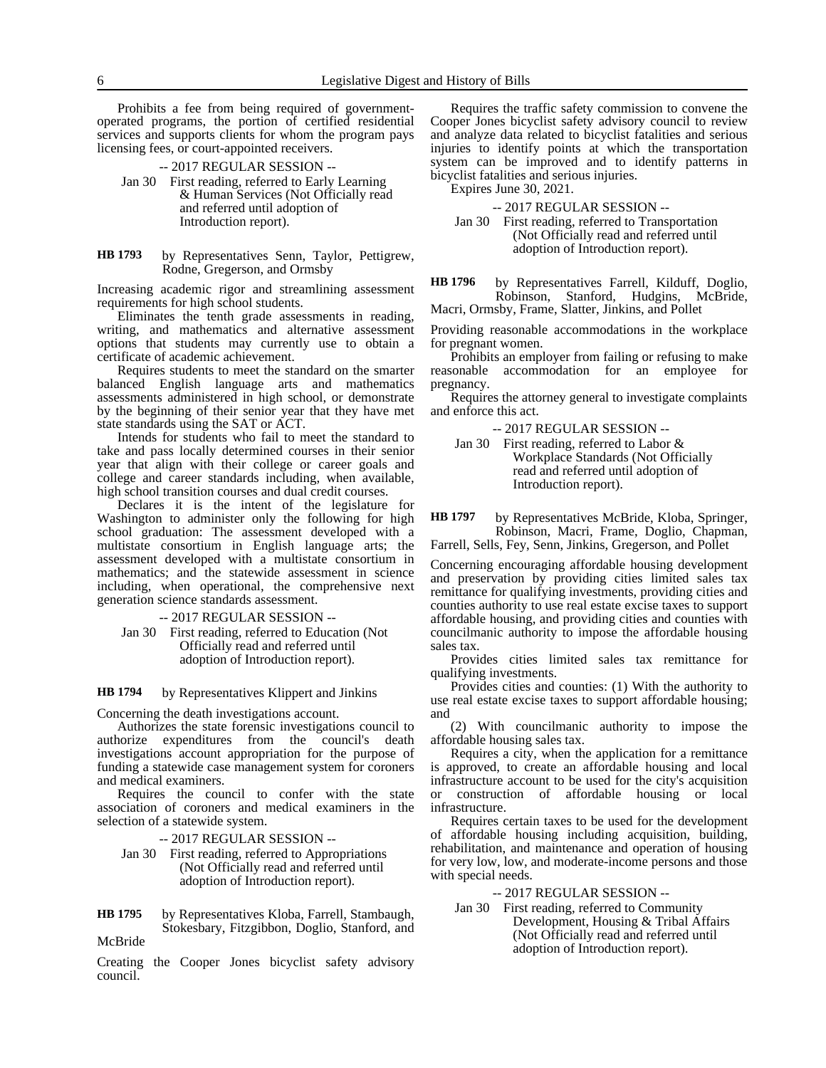Prohibits a fee from being required of governmentoperated programs, the portion of certified residential services and supports clients for whom the program pays licensing fees, or court-appointed receivers.

- -- 2017 REGULAR SESSION --
- Jan 30 First reading, referred to Early Learning & Human Services (Not Officially read and referred until adoption of Introduction report).
- by Representatives Senn, Taylor, Pettigrew, Rodne, Gregerson, and Ormsby **HB 1793**

Increasing academic rigor and streamlining assessment requirements for high school students.

Eliminates the tenth grade assessments in reading, writing, and mathematics and alternative assessment options that students may currently use to obtain a certificate of academic achievement.

Requires students to meet the standard on the smarter balanced English language arts and mathematics assessments administered in high school, or demonstrate by the beginning of their senior year that they have met state standards using the SAT or ACT.

Intends for students who fail to meet the standard to take and pass locally determined courses in their senior year that align with their college or career goals and college and career standards including, when available, high school transition courses and dual credit courses.

Declares it is the intent of the legislature for Washington to administer only the following for high school graduation: The assessment developed with a multistate consortium in English language arts; the assessment developed with a multistate consortium in mathematics; and the statewide assessment in science including, when operational, the comprehensive next generation science standards assessment.

-- 2017 REGULAR SESSION --

Jan 30 First reading, referred to Education (Not Officially read and referred until adoption of Introduction report).

by Representatives Klippert and Jinkins **HB 1794**

Concerning the death investigations account.

Authorizes the state forensic investigations council to authorize expenditures from the council's death investigations account appropriation for the purpose of funding a statewide case management system for coroners and medical examiners.

Requires the council to confer with the state association of coroners and medical examiners in the selection of a statewide system.

-- 2017 REGULAR SESSION --

- Jan 30 First reading, referred to Appropriations (Not Officially read and referred until adoption of Introduction report).
- by Representatives Kloba, Farrell, Stambaugh, Stokesbary, Fitzgibbon, Doglio, Stanford, and McBride **HB 1795**

Creating the Cooper Jones bicyclist safety advisory council.

Requires the traffic safety commission to convene the Cooper Jones bicyclist safety advisory council to review and analyze data related to bicyclist fatalities and serious injuries to identify points at which the transportation system can be improved and to identify patterns in bicyclist fatalities and serious injuries.

Expires June 30, 2021.

-- 2017 REGULAR SESSION --

Jan 30 First reading, referred to Transportation (Not Officially read and referred until adoption of Introduction report).

by Representatives Farrell, Kilduff, Doglio, Robinson, Stanford, Hudgins, McBride, Macri, Ormsby, Frame, Slatter, Jinkins, and Pollet **HB 1796**

Providing reasonable accommodations in the workplace for pregnant women.

Prohibits an employer from failing or refusing to make reasonable accommodation for an employee for pregnancy.

Requires the attorney general to investigate complaints and enforce this act.

-- 2017 REGULAR SESSION --

Jan 30 First reading, referred to Labor & Workplace Standards (Not Officially read and referred until adoption of Introduction report).

by Representatives McBride, Kloba, Springer, Robinson, Macri, Frame, Doglio, Chapman, **HB 1797**

Farrell, Sells, Fey, Senn, Jinkins, Gregerson, and Pollet

Concerning encouraging affordable housing development and preservation by providing cities limited sales tax remittance for qualifying investments, providing cities and counties authority to use real estate excise taxes to support affordable housing, and providing cities and counties with councilmanic authority to impose the affordable housing sales tax.

Provides cities limited sales tax remittance for qualifying investments.

Provides cities and counties: (1) With the authority to use real estate excise taxes to support affordable housing; and

(2) With councilmanic authority to impose the affordable housing sales tax.

Requires a city, when the application for a remittance is approved, to create an affordable housing and local infrastructure account to be used for the city's acquisition or construction of affordable housing or local infrastructure.

Requires certain taxes to be used for the development of affordable housing including acquisition, building, rehabilitation, and maintenance and operation of housing for very low, low, and moderate-income persons and those with special needs.

-- 2017 REGULAR SESSION --

Jan 30 First reading, referred to Community Development, Housing & Tribal Affairs (Not Officially read and referred until adoption of Introduction report).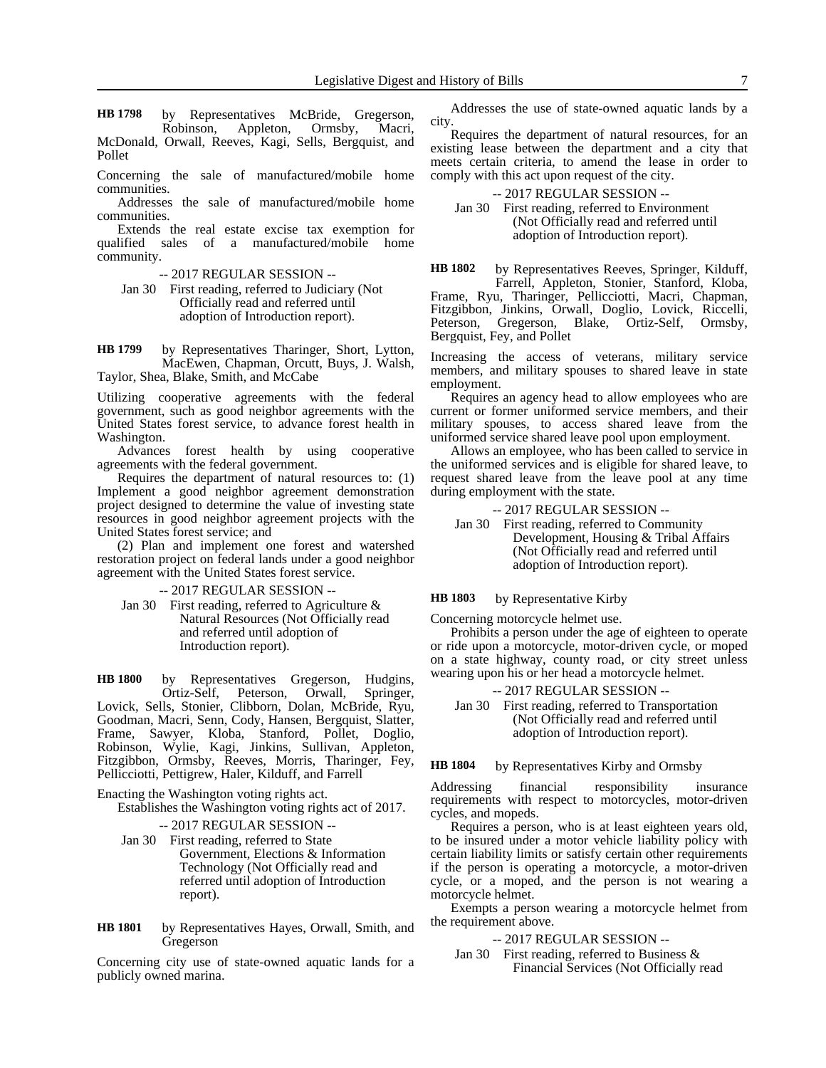by Representatives McBride, Gregerson, Robinson, Appleton, Ormsby, Macri, **HB 1798**

McDonald, Orwall, Reeves, Kagi, Sells, Bergquist, and Pollet

Concerning the sale of manufactured/mobile home communities.

Addresses the sale of manufactured/mobile home communities.

Extends the real estate excise tax exemption for qualified sales of a manufactured/mobile home community.

- -- 2017 REGULAR SESSION --
- Jan 30 First reading, referred to Judiciary (Not Officially read and referred until adoption of Introduction report).

by Representatives Tharinger, Short, Lytton, MacEwen, Chapman, Orcutt, Buys, J. Walsh, Taylor, Shea, Blake, Smith, and McCabe **HB 1799**

Utilizing cooperative agreements with the federal government, such as good neighbor agreements with the United States forest service, to advance forest health in Washington.

Advances forest health by using cooperative agreements with the federal government.

Requires the department of natural resources to: (1) Implement a good neighbor agreement demonstration project designed to determine the value of investing state resources in good neighbor agreement projects with the United States forest service; and

(2) Plan and implement one forest and watershed restoration project on federal lands under a good neighbor agreement with the United States forest service.

-- 2017 REGULAR SESSION --

Jan 30 First reading, referred to Agriculture & Natural Resources (Not Officially read and referred until adoption of Introduction report).

by Representatives Gregerson, Hudgins, Ortiz-Self, Peterson, Orwall, Springer, Lovick, Sells, Stonier, Clibborn, Dolan, McBride, Ryu, Goodman, Macri, Senn, Cody, Hansen, Bergquist, Slatter, Frame, Sawyer, Kloba, Stanford, Pollet, Doglio, Robinson, Wylie, Kagi, Jinkins, Sullivan, Appleton, Fitzgibbon, Ormsby, Reeves, Morris, Tharinger, Fey, Pellicciotti, Pettigrew, Haler, Kilduff, and Farrell **HB 1800**

Enacting the Washington voting rights act.

Establishes the Washington voting rights act of 2017.

-- 2017 REGULAR SESSION --

Jan 30 First reading, referred to State Government, Elections & Information Technology (Not Officially read and referred until adoption of Introduction report).

by Representatives Hayes, Orwall, Smith, and Gregerson **HB 1801**

Concerning city use of state-owned aquatic lands for a publicly owned marina.

Addresses the use of state-owned aquatic lands by a city.

Requires the department of natural resources, for an existing lease between the department and a city that meets certain criteria, to amend the lease in order to comply with this act upon request of the city.

-- 2017 REGULAR SESSION --

Jan 30 First reading, referred to Environment (Not Officially read and referred until adoption of Introduction report).

by Representatives Reeves, Springer, Kilduff, Farrell, Appleton, Stonier, Stanford, Kloba, Frame, Ryu, Tharinger, Pellicciotti, Macri, Chapman, Fitzgibbon, Jinkins, Orwall, Doglio, Lovick, Riccelli, Peterson, Gregerson, Blake, Ortiz-Self, Ormsby, Bergquist, Fey, and Pollet **HB 1802**

Increasing the access of veterans, military service members, and military spouses to shared leave in state employment.

Requires an agency head to allow employees who are current or former uniformed service members, and their military spouses, to access shared leave from the uniformed service shared leave pool upon employment.

Allows an employee, who has been called to service in the uniformed services and is eligible for shared leave, to request shared leave from the leave pool at any time during employment with the state.

-- 2017 REGULAR SESSION --

Jan 30 First reading, referred to Community Development, Housing & Tribal Affairs (Not Officially read and referred until adoption of Introduction report).

by Representative Kirby **HB 1803**

Concerning motorcycle helmet use.

Prohibits a person under the age of eighteen to operate or ride upon a motorcycle, motor-driven cycle, or moped on a state highway, county road, or city street unless wearing upon his or her head a motorcycle helmet.

-- 2017 REGULAR SESSION --

Jan 30 First reading, referred to Transportation (Not Officially read and referred until adoption of Introduction report).

by Representatives Kirby and Ormsby **HB 1804**

Addressing financial responsibility insurance requirements with respect to motorcycles, motor-driven cycles, and mopeds.

Requires a person, who is at least eighteen years old, to be insured under a motor vehicle liability policy with certain liability limits or satisfy certain other requirements if the person is operating a motorcycle, a motor-driven cycle, or a moped, and the person is not wearing a motorcycle helmet.

Exempts a person wearing a motorcycle helmet from the requirement above.

-- 2017 REGULAR SESSION --

Jan 30 First reading, referred to Business & Financial Services (Not Officially read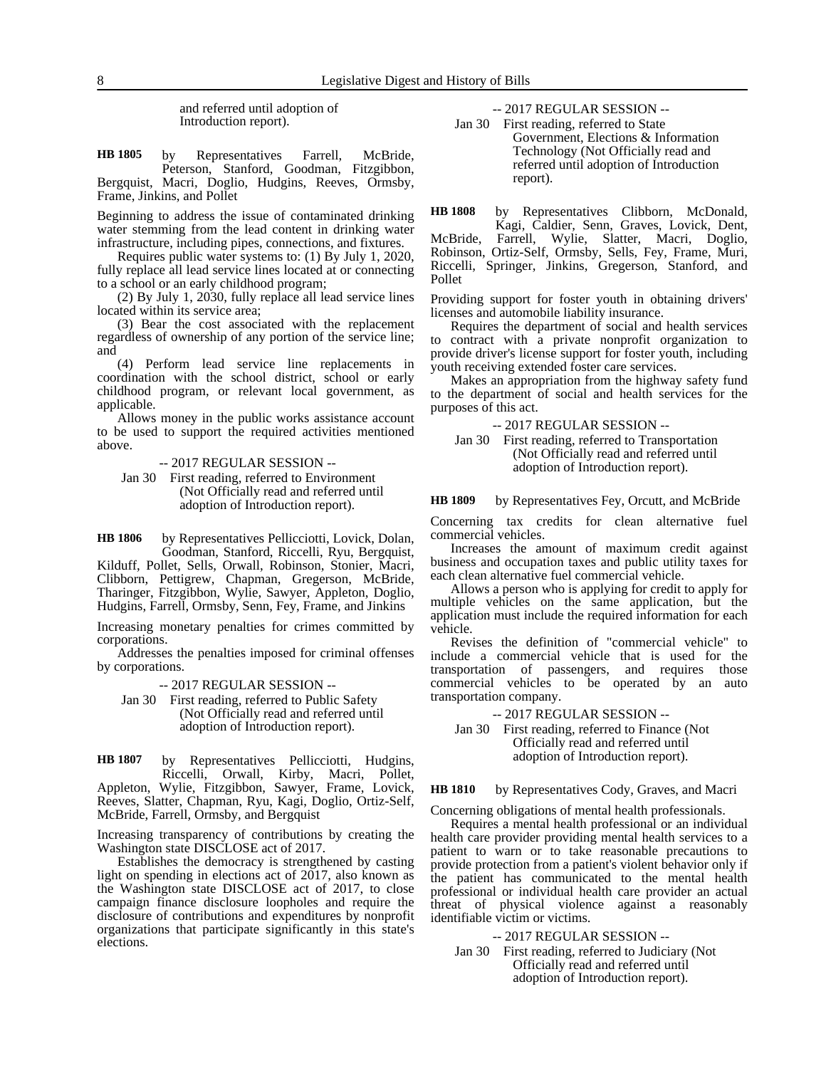and referred until adoption of Introduction report).

by Representatives Farrell, McBride, Peterson, Stanford, Goodman, Fitzgibbon, Bergquist, Macri, Doglio, Hudgins, Reeves, Ormsby, Frame, Jinkins, and Pollet **HB 1805**

Beginning to address the issue of contaminated drinking water stemming from the lead content in drinking water infrastructure, including pipes, connections, and fixtures.

Requires public water systems to: (1) By July 1, 2020, fully replace all lead service lines located at or connecting to a school or an early childhood program;

(2) By July 1, 2030, fully replace all lead service lines located within its service area;

(3) Bear the cost associated with the replacement regardless of ownership of any portion of the service line; and

(4) Perform lead service line replacements in coordination with the school district, school or early childhood program, or relevant local government, as applicable.

Allows money in the public works assistance account to be used to support the required activities mentioned above.

-- 2017 REGULAR SESSION --

Jan 30 First reading, referred to Environment (Not Officially read and referred until adoption of Introduction report).

by Representatives Pellicciotti, Lovick, Dolan, Goodman, Stanford, Riccelli, Ryu, Bergquist, **HB 1806**

Kilduff, Pollet, Sells, Orwall, Robinson, Stonier, Macri, Clibborn, Pettigrew, Chapman, Gregerson, McBride, Tharinger, Fitzgibbon, Wylie, Sawyer, Appleton, Doglio, Hudgins, Farrell, Ormsby, Senn, Fey, Frame, and Jinkins

Increasing monetary penalties for crimes committed by corporations.

Addresses the penalties imposed for criminal offenses by corporations.

-- 2017 REGULAR SESSION --

Jan 30 First reading, referred to Public Safety (Not Officially read and referred until adoption of Introduction report).

by Representatives Pellicciotti, Hudgins, Riccelli, Orwall, Kirby, Macri, Pollet, Appleton, Wylie, Fitzgibbon, Sawyer, Frame, Lovick, Reeves, Slatter, Chapman, Ryu, Kagi, Doglio, Ortiz-Self, McBride, Farrell, Ormsby, and Bergquist **HB 1807**

Increasing transparency of contributions by creating the Washington state DISCLOSE act of 2017.

Establishes the democracy is strengthened by casting light on spending in elections act of  $2017$ , also known as the Washington state DISCLOSE act of 2017, to close campaign finance disclosure loopholes and require the disclosure of contributions and expenditures by nonprofit organizations that participate significantly in this state's elections.

-- 2017 REGULAR SESSION --

Jan 30 First reading, referred to State Government, Elections & Information Technology (Not Officially read and referred until adoption of Introduction report).

by Representatives Clibborn, McDonald, **HB 1808**

Kagi, Caldier, Senn, Graves, Lovick, Dent, McBride, Farrell, Wylie, Slatter, Macri, Doglio, Robinson, Ortiz-Self, Ormsby, Sells, Fey, Frame, Muri, Riccelli, Springer, Jinkins, Gregerson, Stanford, and Pollet

Providing support for foster youth in obtaining drivers' licenses and automobile liability insurance.

Requires the department of social and health services to contract with a private nonprofit organization to provide driver's license support for foster youth, including youth receiving extended foster care services.

Makes an appropriation from the highway safety fund to the department of social and health services for the purposes of this act.

-- 2017 REGULAR SESSION --

Jan 30 First reading, referred to Transportation (Not Officially read and referred until adoption of Introduction report).

#### by Representatives Fey, Orcutt, and McBride **HB 1809**

Concerning tax credits for clean alternative fuel commercial vehicles.

Increases the amount of maximum credit against business and occupation taxes and public utility taxes for each clean alternative fuel commercial vehicle.

Allows a person who is applying for credit to apply for multiple vehicles on the same application, but the application must include the required information for each vehicle.

Revises the definition of "commercial vehicle" to include a commercial vehicle that is used for the transportation of passengers, and requires those commercial vehicles to be operated by an auto transportation company.

-- 2017 REGULAR SESSION --

Jan 30 First reading, referred to Finance (Not Officially read and referred until adoption of Introduction report).

#### by Representatives Cody, Graves, and Macri **HB 1810**

Concerning obligations of mental health professionals.

Requires a mental health professional or an individual health care provider providing mental health services to a patient to warn or to take reasonable precautions to provide protection from a patient's violent behavior only if the patient has communicated to the mental health professional or individual health care provider an actual threat of physical violence against a reasonably identifiable victim or victims.

-- 2017 REGULAR SESSION --

Jan 30 First reading, referred to Judiciary (Not Officially read and referred until adoption of Introduction report).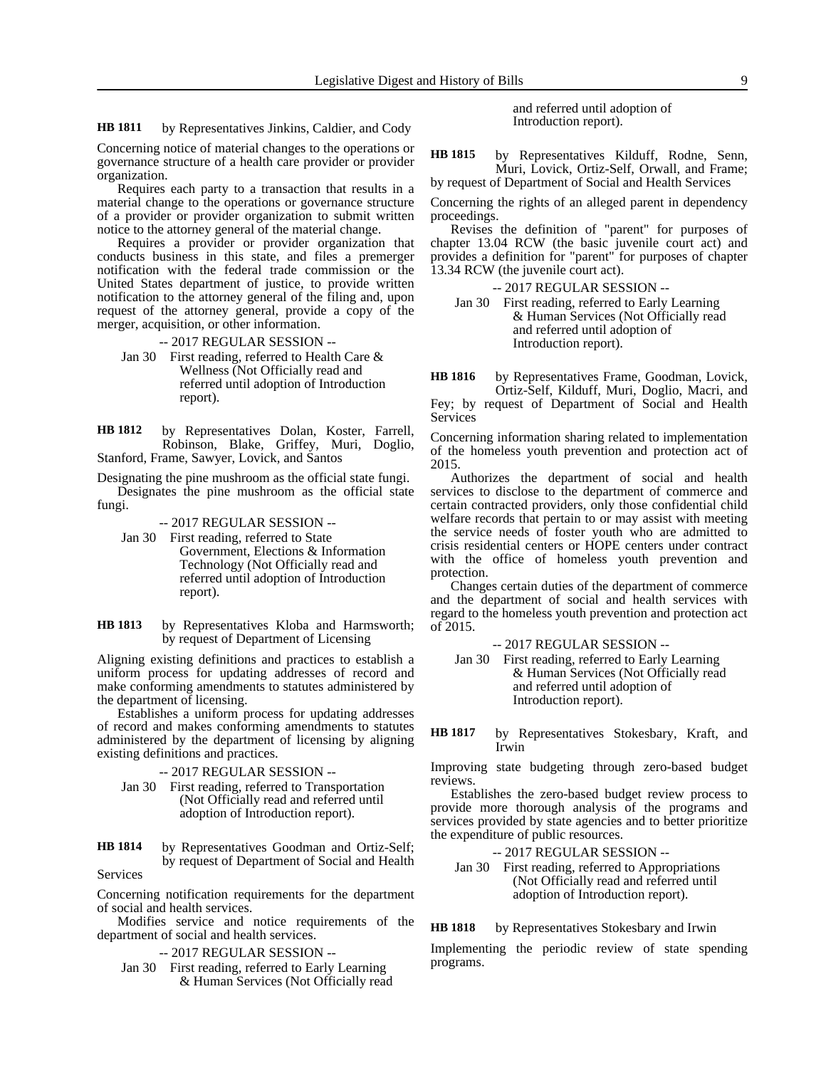by Representatives Jinkins, Caldier, and Cody **HB 1811**

Concerning notice of material changes to the operations or governance structure of a health care provider or provider organization.

Requires each party to a transaction that results in a material change to the operations or governance structure of a provider or provider organization to submit written notice to the attorney general of the material change.

Requires a provider or provider organization that conducts business in this state, and files a premerger notification with the federal trade commission or the United States department of justice, to provide written notification to the attorney general of the filing and, upon request of the attorney general, provide a copy of the merger, acquisition, or other information.

-- 2017 REGULAR SESSION --

Jan 30 First reading, referred to Health Care & Wellness (Not Officially read and referred until adoption of Introduction report).

by Representatives Dolan, Koster, Farrell, Robinson, Blake, Griffey, Muri, Doglio, Stanford, Frame, Sawyer, Lovick, and Santos **HB 1812**

Designating the pine mushroom as the official state fungi. Designates the pine mushroom as the official state fungi.

#### -- 2017 REGULAR SESSION --

- Jan 30 First reading, referred to State Government, Elections & Information Technology (Not Officially read and referred until adoption of Introduction report).
- by Representatives Kloba and Harmsworth; by request of Department of Licensing **HB 1813**

Aligning existing definitions and practices to establish a uniform process for updating addresses of record and make conforming amendments to statutes administered by the department of licensing.

Establishes a uniform process for updating addresses of record and makes conforming amendments to statutes administered by the department of licensing by aligning existing definitions and practices.

- -- 2017 REGULAR SESSION --
- Jan 30 First reading, referred to Transportation (Not Officially read and referred until adoption of Introduction report).

by Representatives Goodman and Ortiz-Self; by request of Department of Social and Health Services **HB 1814**

Concerning notification requirements for the department of social and health services.

Modifies service and notice requirements of the department of social and health services.

- -- 2017 REGULAR SESSION --
- Jan 30 First reading, referred to Early Learning & Human Services (Not Officially read

and referred until adoption of Introduction report).

by Representatives Kilduff, Rodne, Senn, Muri, Lovick, Ortiz-Self, Orwall, and Frame; by request of Department of Social and Health Services **HB 1815**

Concerning the rights of an alleged parent in dependency proceedings.

Revises the definition of "parent" for purposes of chapter 13.04 RCW (the basic juvenile court act) and provides a definition for "parent" for purposes of chapter 13.34 RCW (the juvenile court act).

-- 2017 REGULAR SESSION --

Jan 30 First reading, referred to Early Learning & Human Services (Not Officially read and referred until adoption of Introduction report).

by Representatives Frame, Goodman, Lovick, Ortiz-Self, Kilduff, Muri, Doglio, Macri, and Fey; by request of Department of Social and Health Services **HB 1816**

Concerning information sharing related to implementation of the homeless youth prevention and protection act of 2015.

Authorizes the department of social and health services to disclose to the department of commerce and certain contracted providers, only those confidential child welfare records that pertain to or may assist with meeting the service needs of foster youth who are admitted to crisis residential centers or HOPE centers under contract with the office of homeless youth prevention and protection.

Changes certain duties of the department of commerce and the department of social and health services with regard to the homeless youth prevention and protection act of 2015.

-- 2017 REGULAR SESSION --

Jan 30 First reading, referred to Early Learning & Human Services (Not Officially read and referred until adoption of Introduction report).

by Representatives Stokesbary, Kraft, and Irwin **HB 1817**

Improving state budgeting through zero-based budget reviews.

Establishes the zero-based budget review process to provide more thorough analysis of the programs and services provided by state agencies and to better prioritize the expenditure of public resources.

-- 2017 REGULAR SESSION --

Jan 30 First reading, referred to Appropriations (Not Officially read and referred until adoption of Introduction report).

by Representatives Stokesbary and Irwin **HB 1818**

Implementing the periodic review of state spending programs.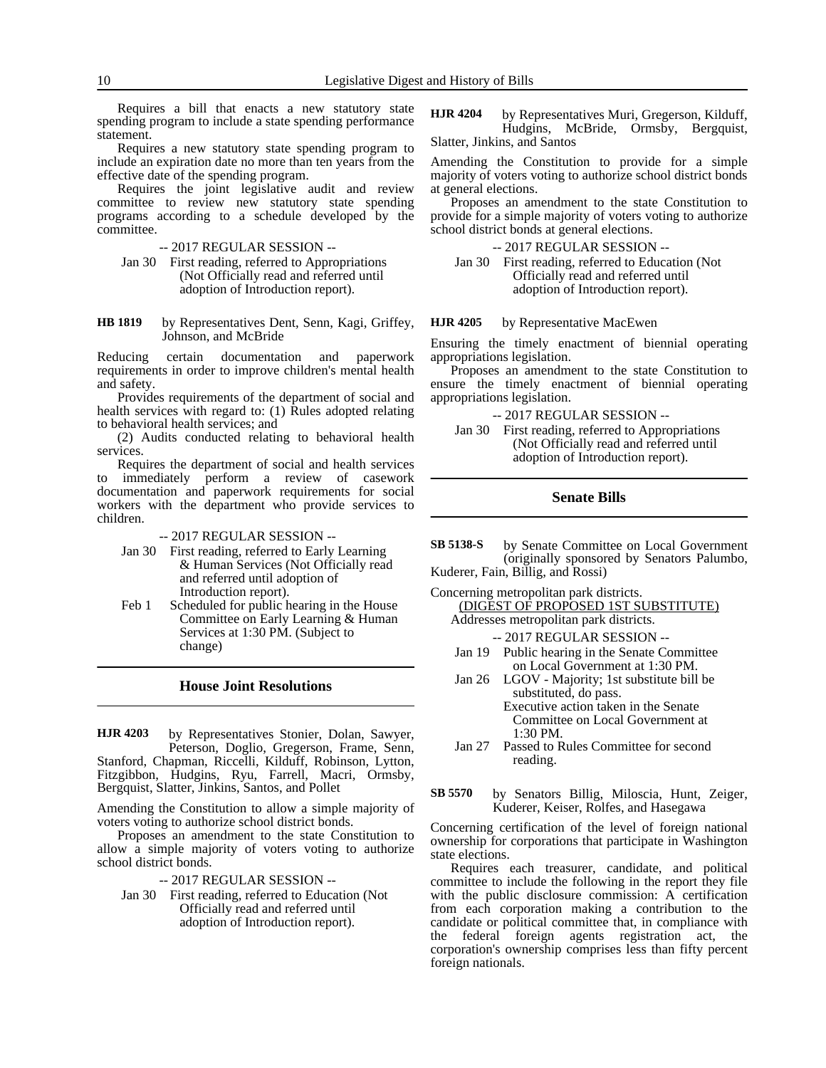Requires a bill that enacts a new statutory state spending program to include a state spending performance statement.

Requires a new statutory state spending program to include an expiration date no more than ten years from the effective date of the spending program.

Requires the joint legislative audit and review committee to review new statutory state spending programs according to a schedule developed by the committee.

-- 2017 REGULAR SESSION --

- Jan 30 First reading, referred to Appropriations (Not Officially read and referred until adoption of Introduction report).
- by Representatives Dent, Senn, Kagi, Griffey, Johnson, and McBride **HB 1819**

Reducing certain documentation and paperwork requirements in order to improve children's mental health and safety.

Provides requirements of the department of social and health services with regard to: (1) Rules adopted relating to behavioral health services; and

(2) Audits conducted relating to behavioral health services.

Requires the department of social and health services to immediately perform a review of casework documentation and paperwork requirements for social workers with the department who provide services to children.

-- 2017 REGULAR SESSION --

- Jan 30 First reading, referred to Early Learning & Human Services (Not Officially read and referred until adoption of Introduction report).
- Feb 1 Scheduled for public hearing in the House Committee on Early Learning & Human Services at 1:30 PM. (Subject to change)

### **House Joint Resolutions**

by Representatives Stonier, Dolan, Sawyer, Peterson, Doglio, Gregerson, Frame, Senn, Stanford, Chapman, Riccelli, Kilduff, Robinson, Lytton, Fitzgibbon, Hudgins, Ryu, Farrell, Macri, Ormsby, Bergquist, Slatter, Jinkins, Santos, and Pollet **HJR 4203**

Amending the Constitution to allow a simple majority of voters voting to authorize school district bonds.

Proposes an amendment to the state Constitution to allow a simple majority of voters voting to authorize school district bonds.

-- 2017 REGULAR SESSION --

Jan 30 First reading, referred to Education (Not Officially read and referred until adoption of Introduction report).

by Representatives Muri, Gregerson, Kilduff, Hudgins, McBride, Ormsby, Bergquist, Slatter, Jinkins, and Santos **HJR 4204**

Amending the Constitution to provide for a simple majority of voters voting to authorize school district bonds at general elections.

Proposes an amendment to the state Constitution to provide for a simple majority of voters voting to authorize school district bonds at general elections.

-- 2017 REGULAR SESSION --

Jan 30 First reading, referred to Education (Not Officially read and referred until adoption of Introduction report).

#### by Representative MacEwen **HJR 4205**

Ensuring the timely enactment of biennial operating appropriations legislation.

Proposes an amendment to the state Constitution to ensure the timely enactment of biennial operating appropriations legislation.

- -- 2017 REGULAR SESSION --
- Jan 30 First reading, referred to Appropriations (Not Officially read and referred until adoption of Introduction report).

# **Senate Bills**

by Senate Committee on Local Government (originally sponsored by Senators Palumbo, Kuderer, Fain, Billig, and Rossi) **SB 5138-S**

Concerning metropolitan park districts.

(DIGEST OF PROPOSED 1ST SUBSTITUTE) Addresses metropolitan park districts.

- -- 2017 REGULAR SESSION --
- Jan 19 Public hearing in the Senate Committee on Local Government at 1:30 PM.
- Jan 26 LGOV Majority; 1st substitute bill be substituted, do pass. Executive action taken in the Senate

Committee on Local Government at 1:30 PM.

- Jan 27 Passed to Rules Committee for second reading.
- by Senators Billig, Miloscia, Hunt, Zeiger, Kuderer, Keiser, Rolfes, and Hasegawa **SB 5570**

Concerning certification of the level of foreign national ownership for corporations that participate in Washington state elections.

Requires each treasurer, candidate, and political committee to include the following in the report they file with the public disclosure commission: A certification from each corporation making a contribution to the candidate or political committee that, in compliance with the federal foreign agents registration act, the corporation's ownership comprises less than fifty percent foreign nationals.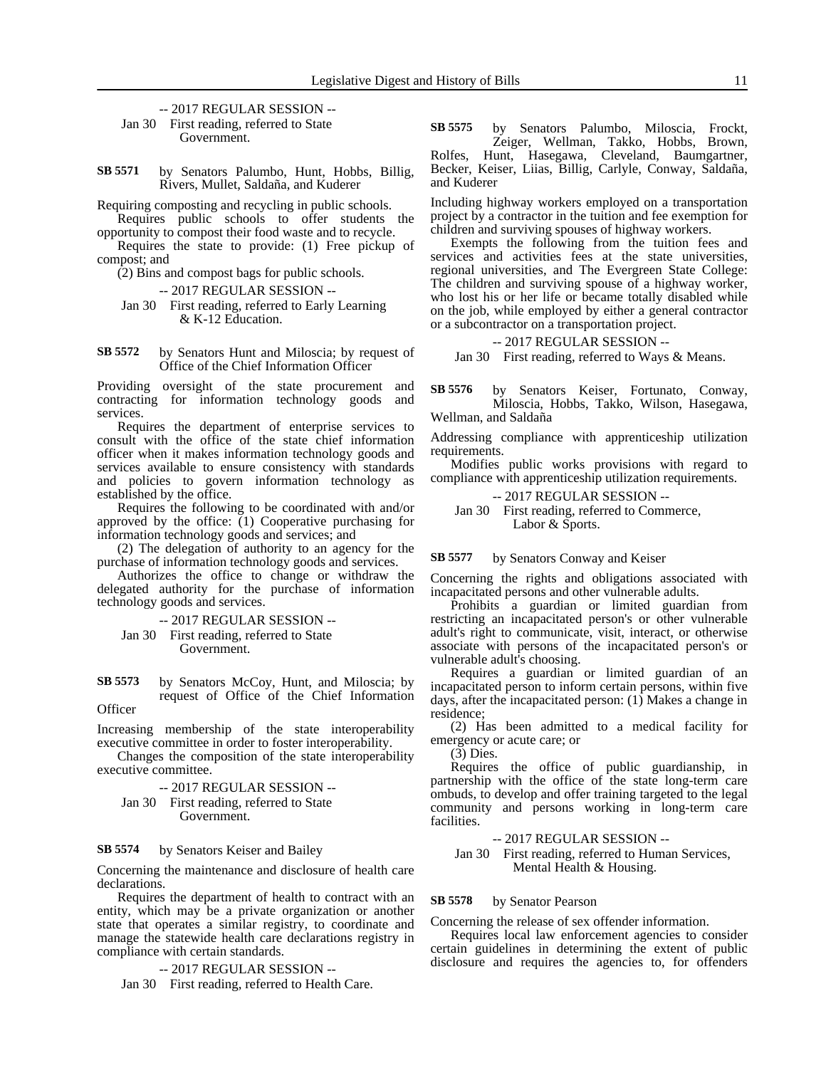-- 2017 REGULAR SESSION -- Jan 30 First reading, referred to State Government.

by Senators Palumbo, Hunt, Hobbs, Billig, Rivers, Mullet, Saldaña, and Kuderer **SB 5571**

Requiring composting and recycling in public schools.

Requires public schools to offer students the opportunity to compost their food waste and to recycle.

Requires the state to provide: (1) Free pickup of compost; and

(2) Bins and compost bags for public schools.

-- 2017 REGULAR SESSION --

Jan 30 First reading, referred to Early Learning & K-12 Education.

#### by Senators Hunt and Miloscia; by request of Office of the Chief Information Officer **SB 5572**

Providing oversight of the state procurement and contracting for information technology goods and services.

Requires the department of enterprise services to consult with the office of the state chief information officer when it makes information technology goods and services available to ensure consistency with standards and policies to govern information technology as established by the office.

Requires the following to be coordinated with and/or approved by the office: (1) Cooperative purchasing for information technology goods and services; and

(2) The delegation of authority to an agency for the purchase of information technology goods and services.

Authorizes the office to change or withdraw the delegated authority for the purchase of information technology goods and services.

-- 2017 REGULAR SESSION --

Jan 30 First reading, referred to State Government.

by Senators McCoy, Hunt, and Miloscia; by request of Office of the Chief Information **Officer SB 5573**

Increasing membership of the state interoperability executive committee in order to foster interoperability.

Changes the composition of the state interoperability executive committee.

-- 2017 REGULAR SESSION -- Jan 30 First reading, referred to State Government.

#### by Senators Keiser and Bailey **SB 5574**

Concerning the maintenance and disclosure of health care declarations.

Requires the department of health to contract with an entity, which may be a private organization or another state that operates a similar registry, to coordinate and manage the statewide health care declarations registry in compliance with certain standards.

-- 2017 REGULAR SESSION --

Jan 30 First reading, referred to Health Care.

by Senators Palumbo, Miloscia, Frockt, Zeiger, Wellman, Takko, Hobbs, Brown, Rolfes, Hunt, Hasegawa, Cleveland, Baumgartner, Becker, Keiser, Liias, Billig, Carlyle, Conway, Saldaña, and Kuderer **SB 5575**

Including highway workers employed on a transportation project by a contractor in the tuition and fee exemption for children and surviving spouses of highway workers.

Exempts the following from the tuition fees and services and activities fees at the state universities, regional universities, and The Evergreen State College: The children and surviving spouse of a highway worker, who lost his or her life or became totally disabled while on the job, while employed by either a general contractor or a subcontractor on a transportation project.

### -- 2017 REGULAR SESSION --

Jan 30 First reading, referred to Ways & Means.

by Senators Keiser, Fortunato, Conway, Miloscia, Hobbs, Takko, Wilson, Hasegawa, Wellman, and Saldaña **SB 5576**

Addressing compliance with apprenticeship utilization requirements.

Modifies public works provisions with regard to compliance with apprenticeship utilization requirements.

-- 2017 REGULAR SESSION --

Jan 30 First reading, referred to Commerce, Labor & Sports.

#### by Senators Conway and Keiser **SB 5577**

Concerning the rights and obligations associated with incapacitated persons and other vulnerable adults.

Prohibits a guardian or limited guardian from restricting an incapacitated person's or other vulnerable adult's right to communicate, visit, interact, or otherwise associate with persons of the incapacitated person's or vulnerable adult's choosing.

Requires a guardian or limited guardian of an incapacitated person to inform certain persons, within five days, after the incapacitated person: (1) Makes a change in residence;

(2) Has been admitted to a medical facility for emergency or acute care; or

 $(3)$  Dies.

Requires the office of public guardianship, in partnership with the office of the state long-term care ombuds, to develop and offer training targeted to the legal community and persons working in long-term care facilities.

#### -- 2017 REGULAR SESSION --

Jan 30 First reading, referred to Human Services, Mental Health & Housing.

#### by Senator Pearson **SB 5578**

Concerning the release of sex offender information.

Requires local law enforcement agencies to consider certain guidelines in determining the extent of public disclosure and requires the agencies to, for offenders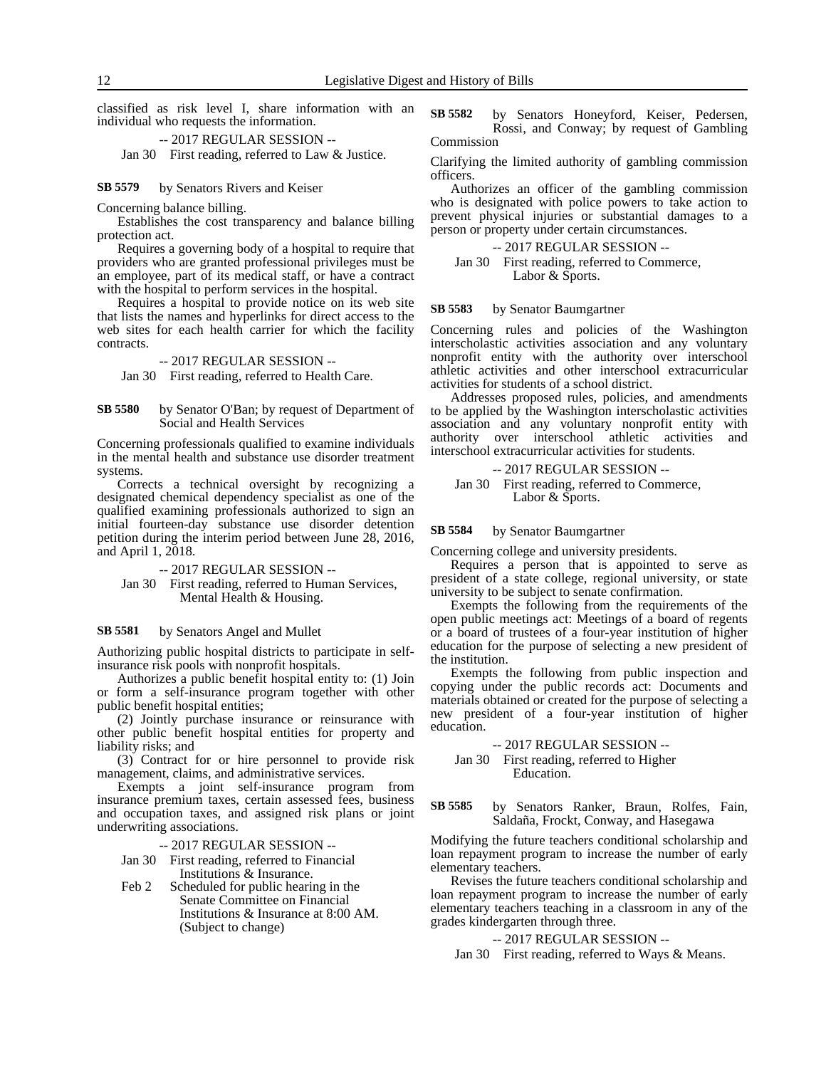classified as risk level I, share information with an individual who requests the information.

-- 2017 REGULAR SESSION --

Jan 30 First reading, referred to Law & Justice.

by Senators Rivers and Keiser **SB 5579**

Concerning balance billing.

Establishes the cost transparency and balance billing protection act.

Requires a governing body of a hospital to require that providers who are granted professional privileges must be an employee, part of its medical staff, or have a contract with the hospital to perform services in the hospital.

Requires a hospital to provide notice on its web site that lists the names and hyperlinks for direct access to the web sites for each health carrier for which the facility contracts.

### -- 2017 REGULAR SESSION --

Jan 30 First reading, referred to Health Care.

by Senator O'Ban; by request of Department of Social and Health Services **SB 5580**

Concerning professionals qualified to examine individuals in the mental health and substance use disorder treatment systems.

Corrects a technical oversight by recognizing a designated chemical dependency specialist as one of the qualified examining professionals authorized to sign an initial fourteen-day substance use disorder detention petition during the interim period between June 28, 2016, and April 1, 2018.

-- 2017 REGULAR SESSION --

Jan 30 First reading, referred to Human Services, Mental Health & Housing.

#### by Senators Angel and Mullet **SB 5581**

Authorizing public hospital districts to participate in selfinsurance risk pools with nonprofit hospitals.

Authorizes a public benefit hospital entity to: (1) Join or form a self-insurance program together with other public benefit hospital entities;

(2) Jointly purchase insurance or reinsurance with other public benefit hospital entities for property and liability risks; and

(3) Contract for or hire personnel to provide risk management, claims, and administrative services.

Exempts a joint self-insurance program from insurance premium taxes, certain assessed fees, business and occupation taxes, and assigned risk plans or joint underwriting associations.

-- 2017 REGULAR SESSION --

Jan 30 First reading, referred to Financial Institutions & Insurance.

Feb 2 Scheduled for public hearing in the Senate Committee on Financial Institutions & Insurance at 8:00 AM. (Subject to change)

by Senators Honeyford, Keiser, Pedersen, Rossi, and Conway; by request of Gambling Commission **SB 5582**

Clarifying the limited authority of gambling commission officers.

Authorizes an officer of the gambling commission who is designated with police powers to take action to prevent physical injuries or substantial damages to a person or property under certain circumstances.

### -- 2017 REGULAR SESSION -- Jan 30 First reading, referred to Commerce,

Labor & Sports.

#### by Senator Baumgartner **SB 5583**

Concerning rules and policies of the Washington interscholastic activities association and any voluntary nonprofit entity with the authority over interschool athletic activities and other interschool extracurricular activities for students of a school district.

Addresses proposed rules, policies, and amendments to be applied by the Washington interscholastic activities association and any voluntary nonprofit entity with authority over interschool athletic activities and interschool extracurricular activities for students.

-- 2017 REGULAR SESSION --

Jan 30 First reading, referred to Commerce, Labor & Sports.

#### by Senator Baumgartner **SB 5584**

Concerning college and university presidents.

Requires a person that is appointed to serve as president of a state college, regional university, or state university to be subject to senate confirmation.

Exempts the following from the requirements of the open public meetings act: Meetings of a board of regents or a board of trustees of a four-year institution of higher education for the purpose of selecting a new president of the institution.

Exempts the following from public inspection and copying under the public records act: Documents and materials obtained or created for the purpose of selecting a new president of a four-year institution of higher education.

### -- 2017 REGULAR SESSION --

Jan 30 First reading, referred to Higher Education.

by Senators Ranker, Braun, Rolfes, Fain, Saldaña, Frockt, Conway, and Hasegawa **SB 5585**

Modifying the future teachers conditional scholarship and loan repayment program to increase the number of early elementary teachers.

Revises the future teachers conditional scholarship and loan repayment program to increase the number of early elementary teachers teaching in a classroom in any of the grades kindergarten through three.

#### -- 2017 REGULAR SESSION --

Jan 30 First reading, referred to Ways & Means.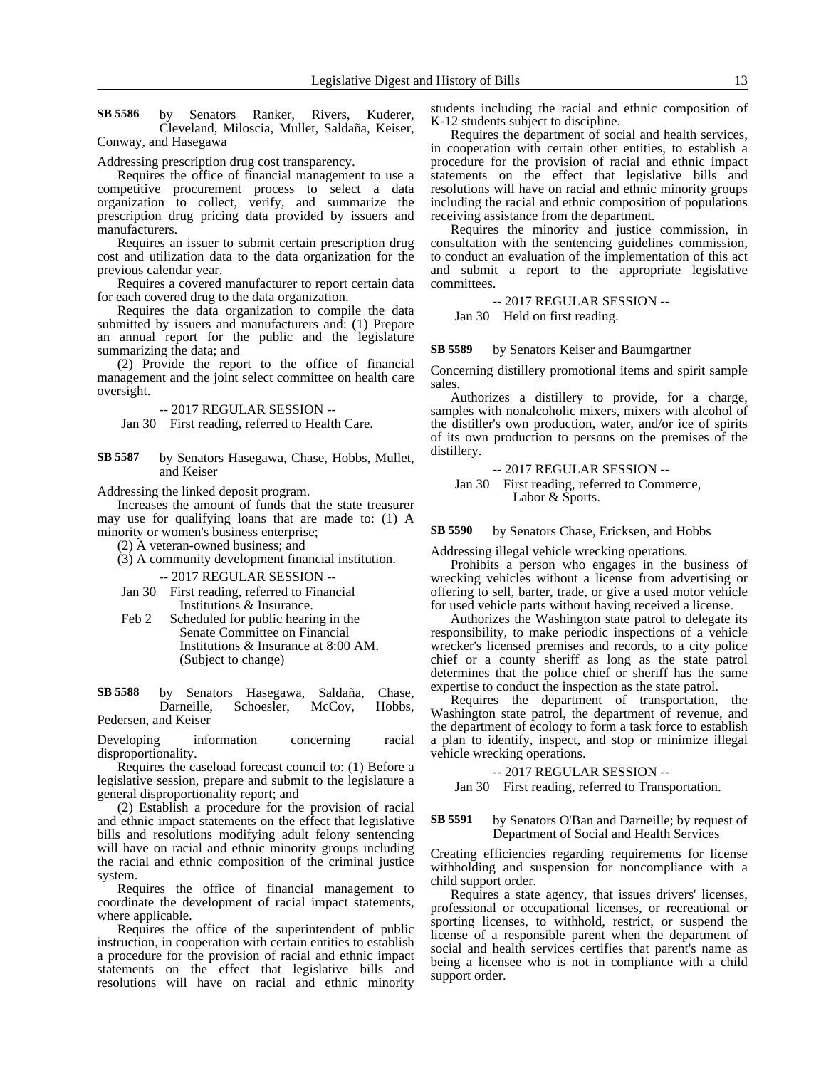by Senators Ranker, Rivers, Kuderer, Cleveland, Miloscia, Mullet, Saldaña, Keiser, Conway, and Hasegawa **SB 5586**

Addressing prescription drug cost transparency.

Requires the office of financial management to use a competitive procurement process to select a data organization to collect, verify, and summarize the prescription drug pricing data provided by issuers and manufacturers.

Requires an issuer to submit certain prescription drug cost and utilization data to the data organization for the previous calendar year.

Requires a covered manufacturer to report certain data for each covered drug to the data organization.

Requires the data organization to compile the data submitted by issuers and manufacturers and: (1) Prepare an annual report for the public and the legislature summarizing the data; and

(2) Provide the report to the office of financial management and the joint select committee on health care oversight.

-- 2017 REGULAR SESSION --

Jan 30 First reading, referred to Health Care.

by Senators Hasegawa, Chase, Hobbs, Mullet, and Keiser **SB 5587**

Addressing the linked deposit program.

Increases the amount of funds that the state treasurer may use for qualifying loans that are made to: (1) A minority or women's business enterprise;

(2) A veteran-owned business; and

(3) A community development financial institution.

-- 2017 REGULAR SESSION --

- Jan 30 First reading, referred to Financial Institutions & Insurance.
- Feb 2 Scheduled for public hearing in the Senate Committee on Financial Institutions & Insurance at 8:00 AM. (Subject to change)

by Senators Hasegawa, Saldaña, Chase, Darneille, Schoesler, McCoy, Hobbs, Pedersen, and Keiser **SB 5588**

Developing information concerning racial disproportionality.

Requires the caseload forecast council to: (1) Before a legislative session, prepare and submit to the legislature a general disproportionality report; and

(2) Establish a procedure for the provision of racial and ethnic impact statements on the effect that legislative bills and resolutions modifying adult felony sentencing will have on racial and ethnic minority groups including the racial and ethnic composition of the criminal justice system.

Requires the office of financial management to coordinate the development of racial impact statements, where applicable.

Requires the office of the superintendent of public instruction, in cooperation with certain entities to establish a procedure for the provision of racial and ethnic impact statements on the effect that legislative bills and resolutions will have on racial and ethnic minority

students including the racial and ethnic composition of K-12 students subject to discipline.

Requires the department of social and health services, in cooperation with certain other entities, to establish a procedure for the provision of racial and ethnic impact statements on the effect that legislative bills and resolutions will have on racial and ethnic minority groups including the racial and ethnic composition of populations receiving assistance from the department.

Requires the minority and justice commission, in consultation with the sentencing guidelines commission, to conduct an evaluation of the implementation of this act and submit a report to the appropriate legislative committees.

-- 2017 REGULAR SESSION --

Jan 30 Held on first reading.

by Senators Keiser and Baumgartner **SB 5589**

Concerning distillery promotional items and spirit sample sales.

Authorizes a distillery to provide, for a charge, samples with nonalcoholic mixers, mixers with alcohol of the distiller's own production, water, and/or ice of spirits of its own production to persons on the premises of the distillery.

-- 2017 REGULAR SESSION --

Jan 30 First reading, referred to Commerce, Labor & Sports.

by Senators Chase, Ericksen, and Hobbs **SB 5590**

Addressing illegal vehicle wrecking operations.

Prohibits a person who engages in the business of wrecking vehicles without a license from advertising or offering to sell, barter, trade, or give a used motor vehicle for used vehicle parts without having received a license.

Authorizes the Washington state patrol to delegate its responsibility, to make periodic inspections of a vehicle wrecker's licensed premises and records, to a city police chief or a county sheriff as long as the state patrol determines that the police chief or sheriff has the same expertise to conduct the inspection as the state patrol.

Requires the department of transportation, the Washington state patrol, the department of revenue, and the department of ecology to form a task force to establish a plan to identify, inspect, and stop or minimize illegal vehicle wrecking operations.

-- 2017 REGULAR SESSION --

Jan 30 First reading, referred to Transportation.

#### by Senators O'Ban and Darneille; by request of Department of Social and Health Services **SB 5591**

Creating efficiencies regarding requirements for license withholding and suspension for noncompliance with a child support order.

Requires a state agency, that issues drivers' licenses, professional or occupational licenses, or recreational or sporting licenses, to withhold, restrict, or suspend the license of a responsible parent when the department of social and health services certifies that parent's name as being a licensee who is not in compliance with a child support order.